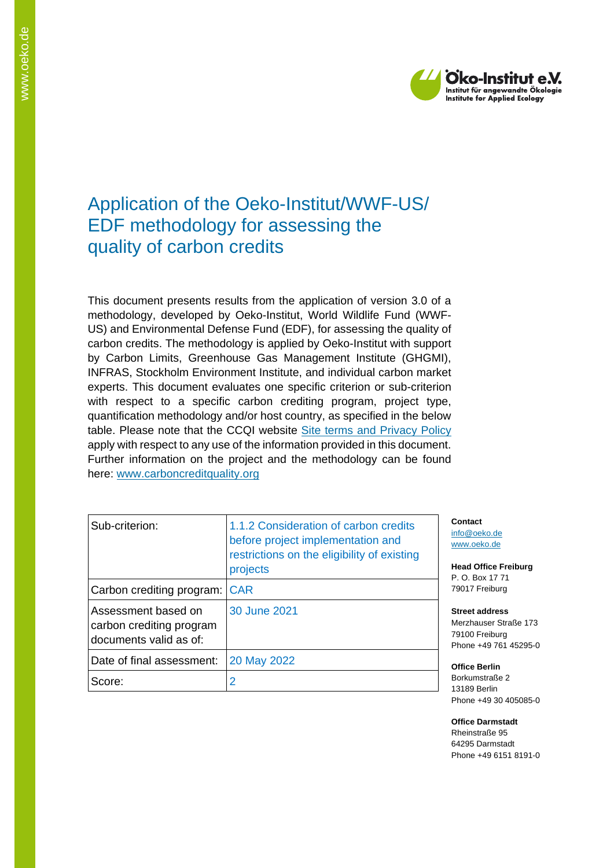

## Application of the Oeko-Institut/WWF-US/ EDF methodology for assessing the quality of carbon credits

This document presents results from the application of version 3.0 of a methodology, developed by Oeko-Institut, World Wildlife Fund (WWF-US) and Environmental Defense Fund (EDF), for assessing the quality of carbon credits. The methodology is applied by Oeko-Institut with support by Carbon Limits, Greenhouse Gas Management Institute (GHGMI), INFRAS, Stockholm Environment Institute, and individual carbon market experts. This document evaluates one specific criterion or sub-criterion with respect to a specific carbon crediting program, project type, quantification methodology and/or host country, as specified in the below table. Please note that the CCQI website [Site terms and Privacy Policy](https://carboncreditquality.org/terms.html) apply with respect to any use of the information provided in this document. Further information on the project and the methodology can be found here: [www.carboncreditquality.org](http://www.carboncreditquality.org/)

| Sub-criterion:                                                            | 1.1.2 Consideration of carbon credits<br>before project implementation and<br>restrictions on the eligibility of existing<br>projects |  |
|---------------------------------------------------------------------------|---------------------------------------------------------------------------------------------------------------------------------------|--|
| Carbon crediting program:                                                 | <b>CAR</b>                                                                                                                            |  |
| Assessment based on<br>carbon crediting program<br>documents valid as of: | 30 June 2021                                                                                                                          |  |
| Date of final assessment:                                                 | 20 May 2022                                                                                                                           |  |
| Score:                                                                    |                                                                                                                                       |  |

**Contact** [info@oeko.de](mailto:info@oeko.de) [www.oeko.de](http://www.oeko.de/)

**Head Office Freiburg** P. O. Box 17 71 79017 Freiburg

**Street address** Merzhauser Straße 173 79100 Freiburg Phone +49 761 45295-0

**Office Berlin** Borkumstraße 2 13189 Berlin Phone +49 30 405085-0

**Office Darmstadt** Rheinstraße 95 64295 Darmstadt Phone +49 6151 8191-0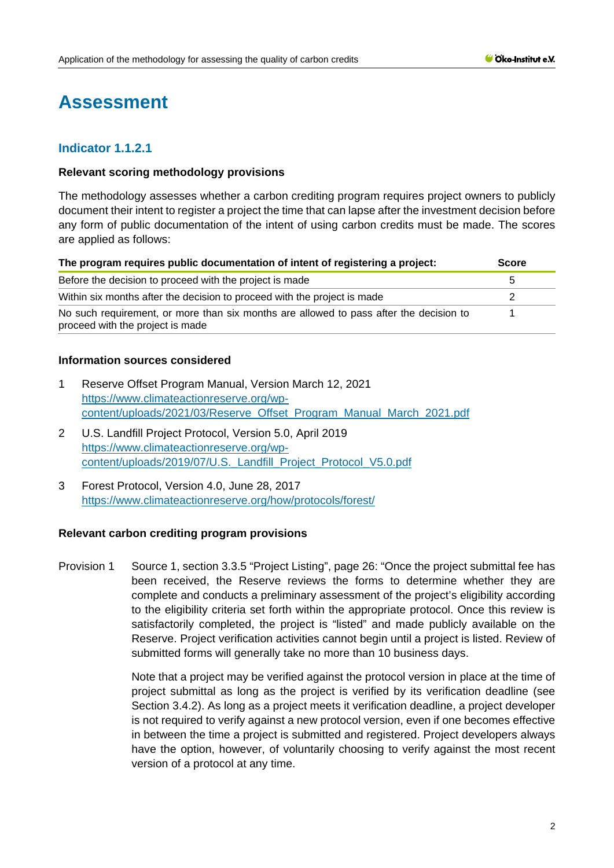# **Assessment**

## **Indicator 1.1.2.1**

#### **Relevant scoring methodology provisions**

The methodology assesses whether a carbon crediting program requires project owners to publicly document their intent to register a project the time that can lapse after the investment decision before any form of public documentation of the intent of using carbon credits must be made. The scores are applied as follows:

| The program requires public documentation of intent of registering a project:                                              | <b>Score</b> |
|----------------------------------------------------------------------------------------------------------------------------|--------------|
| Before the decision to proceed with the project is made                                                                    | 5            |
| Within six months after the decision to proceed with the project is made                                                   |              |
| No such requirement, or more than six months are allowed to pass after the decision to<br>proceed with the project is made |              |

#### **Information sources considered**

- 1 Reserve Offset Program Manual, Version March 12, 2021 [https://www.climateactionreserve.org/wp](https://www.climateactionreserve.org/wp-content/uploads/2021/03/Reserve_Offset_Program_Manual_March_2021.pdf)[content/uploads/2021/03/Reserve\\_Offset\\_Program\\_Manual\\_March\\_2021.pdf](https://www.climateactionreserve.org/wp-content/uploads/2021/03/Reserve_Offset_Program_Manual_March_2021.pdf)
- 2 U.S. Landfill Project Protocol, Version 5.0, April 2019 [https://www.climateactionreserve.org/wp](https://www.climateactionreserve.org/wp-content/uploads/2019/07/U.S._Landfill_Project_Protocol_V5.0.pdf)[content/uploads/2019/07/U.S.\\_Landfill\\_Project\\_Protocol\\_V5.0.pdf](https://www.climateactionreserve.org/wp-content/uploads/2019/07/U.S._Landfill_Project_Protocol_V5.0.pdf)
- 3 Forest Protocol, Version 4.0, June 28, 2017 <https://www.climateactionreserve.org/how/protocols/forest/>

## **Relevant carbon crediting program provisions**

Provision 1 Source 1, section 3.3.5 "Project Listing", page 26: "Once the project submittal fee has been received, the Reserve reviews the forms to determine whether they are complete and conducts a preliminary assessment of the project's eligibility according to the eligibility criteria set forth within the appropriate protocol. Once this review is satisfactorily completed, the project is "listed" and made publicly available on the Reserve. Project verification activities cannot begin until a project is listed. Review of submitted forms will generally take no more than 10 business days.

> Note that a project may be verified against the protocol version in place at the time of project submittal as long as the project is verified by its verification deadline (see Section 3.4.2). As long as a project meets it verification deadline, a project developer is not required to verify against a new protocol version, even if one becomes effective in between the time a project is submitted and registered. Project developers always have the option, however, of voluntarily choosing to verify against the most recent version of a protocol at any time.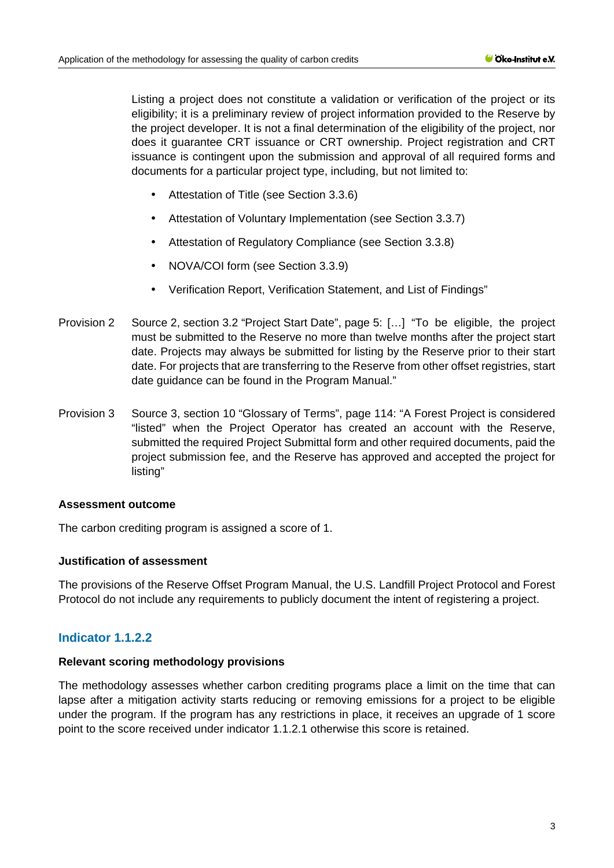Listing a project does not constitute a validation or verification of the project or its eligibility; it is a preliminary review of project information provided to the Reserve by the project developer. It is not a final determination of the eligibility of the project, nor does it guarantee CRT issuance or CRT ownership. Project registration and CRT issuance is contingent upon the submission and approval of all required forms and documents for a particular project type, including, but not limited to:

- Attestation of Title (see Section 3.3.6)
- Attestation of Voluntary Implementation (see Section 3.3.7)
- Attestation of Regulatory Compliance (see Section 3.3.8)
- NOVA/COI form (see Section 3.3.9)
- Verification Report, Verification Statement, and List of Findings"
- Provision 2 Source 2, section 3.2 "Project Start Date", page 5: […] "To be eligible, the project must be submitted to the Reserve no more than twelve months after the project start date. Projects may always be submitted for listing by the Reserve prior to their start date. For projects that are transferring to the Reserve from other offset registries, start date guidance can be found in the Program Manual."
- Provision 3 Source 3, section 10 "Glossary of Terms", page 114: "A Forest Project is considered "listed" when the Project Operator has created an account with the Reserve, submitted the required Project Submittal form and other required documents, paid the project submission fee, and the Reserve has approved and accepted the project for listing"

## **Assessment outcome**

The carbon crediting program is assigned a score of 1.

## **Justification of assessment**

The provisions of the Reserve Offset Program Manual, the U.S. Landfill Project Protocol and Forest Protocol do not include any requirements to publicly document the intent of registering a project.

## **Indicator 1.1.2.2**

## **Relevant scoring methodology provisions**

The methodology assesses whether carbon crediting programs place a limit on the time that can lapse after a mitigation activity starts reducing or removing emissions for a project to be eligible under the program. If the program has any restrictions in place, it receives an upgrade of 1 score point to the score received under indicator 1.1.2.1 otherwise this score is retained.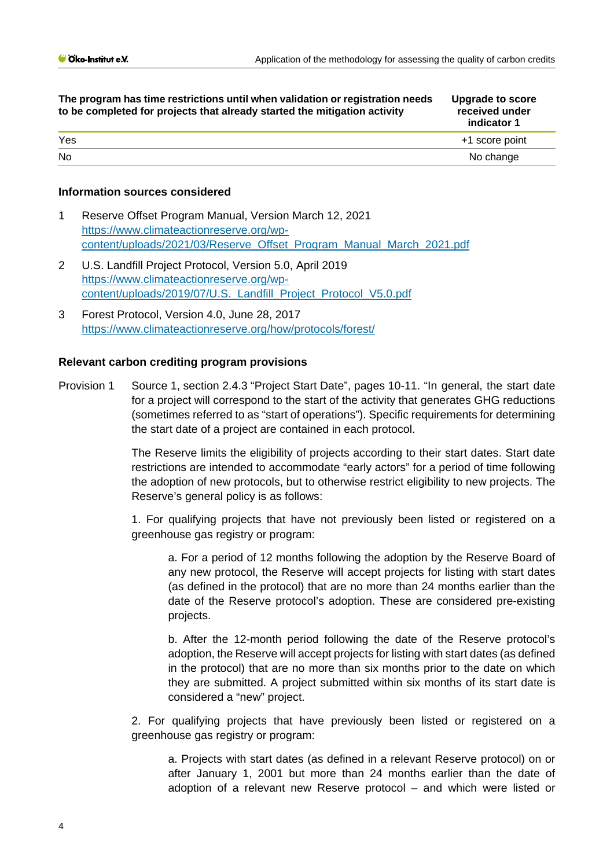| The program has time restrictions until when validation or registration needs<br>to be completed for projects that already started the mitigation activity | <b>Upgrade to score</b><br>received under<br>indicator 1 |
|------------------------------------------------------------------------------------------------------------------------------------------------------------|----------------------------------------------------------|
| Yes                                                                                                                                                        | +1 score point                                           |
| <b>No</b>                                                                                                                                                  | No change                                                |
|                                                                                                                                                            |                                                          |

#### **Information sources considered**

- 1 Reserve Offset Program Manual, Versi[on March 12, 2021](https://www.climateactionreserve.org/wp-content/uploads/2021/03/Reserve_Offset_Program_Manual_March_2021.pdf)  [https://www.climateactionreserve.org/wp](https://www.climateactionreserve.org/wp-content/uploads/2021/03/Reserve_Offset_Program_Manual_March_2021.pdf)[content/uploads/2021/03/Reserve\\_Offset\\_Program\\_Manual\\_March\\_2021.pdf](https://www.climateactionreserve.org/wp-content/uploads/2021/03/Reserve_Offset_Program_Manual_March_2021.pdf)
- 2 U.S. Landfill Project Protocol, Version 5.0, April 2019 [https://www.climateactionreserve.org/wp](https://www.climateactionreserve.org/wp-content/uploads/2019/07/U.S._Landfill_Project_Protocol_V5.0.pdf)[content/uploads/2019/07/U.S.\\_Landfill\\_Project\\_Protocol\\_V5.0.pdf](https://www.climateactionreserve.org/wp-content/uploads/2019/07/U.S._Landfill_Project_Protocol_V5.0.pdf)
- 3 Forest Protocol, Version 4.0, June 28, 2017 <https://www.climateactionreserve.org/how/protocols/forest/>

#### **Relevant carbon crediting program provisions**

Provision 1 Source 1, section 2.4.3 "Project Start Date", pages 10-11. "In general, the start date for a project will correspond to the start of the activity that generates GHG reductions (sometimes referred to as "start of operations"). Specific requirements for determining the start date of a project are contained in each protocol.

> The Reserve limits the eligibility of projects according to their start dates. Start date restrictions are intended to accommodate "early actors" for a period of time following the adoption of new protocols, but to otherwise restrict eligibility to new projects. The Reserve's general policy is as follows:

> 1. For qualifying projects that have not previously been listed or registered on a greenhouse gas registry or program:

a. For a period of 12 months following the adoption by the Reserve Board of any new protocol, the Reserve will accept projects for listing with start dates (as defined in the protocol) that are no more than 24 months earlier than the date of the Reserve protocol's adoption. These are considered pre-existing projects.

b. After the 12-month period following the date of the Reserve protocol's adoption, the Reserve will accept projects for listing with start dates (as defined in the protocol) that are no more than six months prior to the date on which they are submitted. A project submitted within six months of its start date is considered a "new" project.

2. For qualifying projects that have previously been listed or registered on a greenhouse gas registry or program:

a. Projects with start dates (as defined in a relevant Reserve protocol) on or after January 1, 2001 but more than 24 months earlier than the date of adoption of a relevant new Reserve protocol – and which were listed or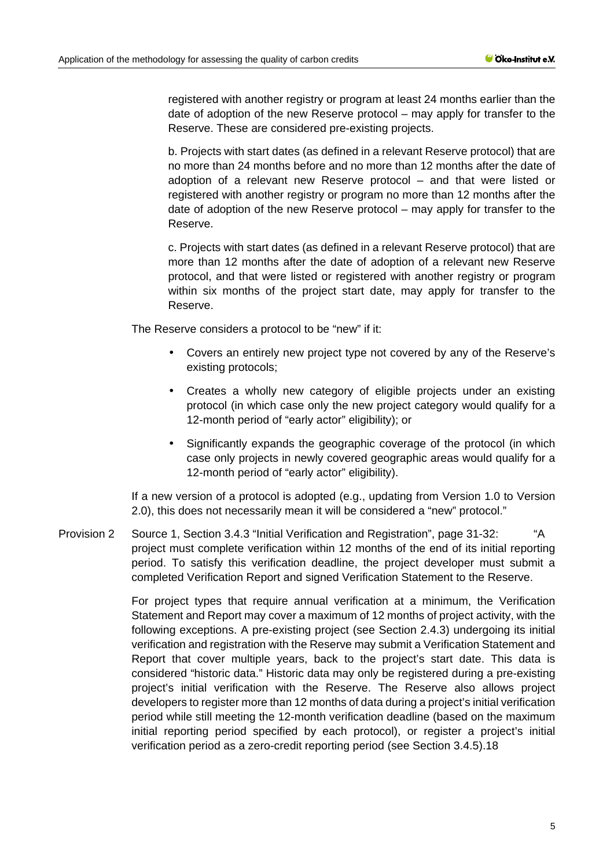registered with another registry or program at least 24 months earlier than the date of adoption of the new Reserve protocol – may apply for transfer to the Reserve. These are considered pre-existing projects.

b. Projects with start dates (as defined in a relevant Reserve protocol) that are no more than 24 months before and no more than 12 months after the date of adoption of a relevant new Reserve protocol – and that were listed or registered with another registry or program no more than 12 months after the date of adoption of the new Reserve protocol – may apply for transfer to the Reserve.

c. Projects with start dates (as defined in a relevant Reserve protocol) that are more than 12 months after the date of adoption of a relevant new Reserve protocol, and that were listed or registered with another registry or program within six months of the project start date, may apply for transfer to the Reserve.

The Reserve considers a protocol to be "new" if it:

- Covers an entirely new project type not covered by any of the Reserve's existing protocols;
- Creates a wholly new category of eligible projects under an existing protocol (in which case only the new project category would qualify for a 12-month period of "early actor" eligibility); or
- Significantly expands the geographic coverage of the protocol (in which case only projects in newly covered geographic areas would qualify for a 12-month period of "early actor" eligibility).

If a new version of a protocol is adopted (e.g., updating from Version 1.0 to Version 2.0), this does not necessarily mean it will be considered a "new" protocol."

Provision 2 Source 1, Section 3.4.3 "Initial Verification and Registration", page 31-32: "A project must complete verification within 12 months of the end of its initial reporting period. To satisfy this verification deadline, the project developer must submit a completed Verification Report and signed Verification Statement to the Reserve.

> For project types that require annual verification at a minimum, the Verification Statement and Report may cover a maximum of 12 months of project activity, with the following exceptions. A pre-existing project (see Section 2.4.3) undergoing its initial verification and registration with the Reserve may submit a Verification Statement and Report that cover multiple years, back to the project's start date. This data is considered "historic data." Historic data may only be registered during a pre-existing project's initial verification with the Reserve. The Reserve also allows project developers to register more than 12 months of data during a project's initial verification period while still meeting the 12-month verification deadline (based on the maximum initial reporting period specified by each protocol), or register a project's initial verification period as a zero-credit reporting period (see Section 3.4.5).18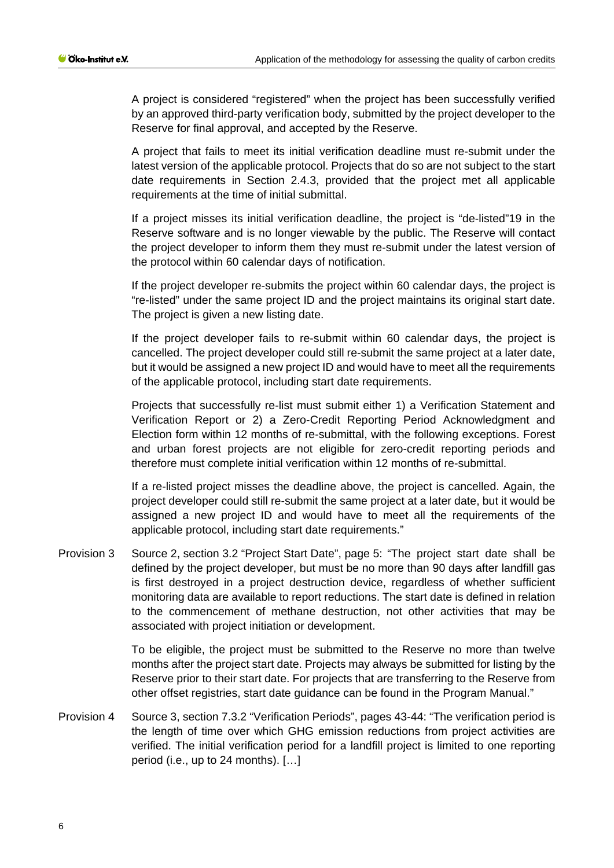A project is considered "registered" when the project has been successfully verified by an approved third-party verification body, submitted by the project developer to the Reserve for final approval, and accepted by the Reserve.

A project that fails to meet its initial verification deadline must re-submit under the latest version of the applicable protocol. Projects that do so are not subject to the start date requirements in Section 2.4.3, provided that the project met all applicable requirements at the time of initial submittal.

If a project misses its initial verification deadline, the project is "de-listed"19 in the Reserve software and is no longer viewable by the public. The Reserve will contact the project developer to inform them they must re-submit under the latest version of the protocol within 60 calendar days of notification.

If the project developer re-submits the project within 60 calendar days, the project is "re-listed" under the same project ID and the project maintains its original start date. The project is given a new listing date.

If the project developer fails to re-submit within 60 calendar days, the project is cancelled. The project developer could still re-submit the same project at a later date, but it would be assigned a new project ID and would have to meet all the requirements of the applicable protocol, including start date requirements.

Projects that successfully re-list must submit either 1) a Verification Statement and Verification Report or 2) a Zero-Credit Reporting Period Acknowledgment and Election form within 12 months of re-submittal, with the following exceptions. Forest and urban forest projects are not eligible for zero-credit reporting periods and therefore must complete initial verification within 12 months of re-submittal.

If a re-listed project misses the deadline above, the project is cancelled. Again, the project developer could still re-submit the same project at a later date, but it would be assigned a new project ID and would have to meet all the requirements of the applicable protocol, including start date requirements."

Provision 3 Source 2, section 3.2 "Project Start Date", page 5: "The project start date shall be defined by the project developer, but must be no more than 90 days after landfill gas is first destroyed in a project destruction device, regardless of whether sufficient monitoring data are available to report reductions. The start date is defined in relation to the commencement of methane destruction, not other activities that may be associated with project initiation or development.

> To be eligible, the project must be submitted to the Reserve no more than twelve months after the project start date. Projects may always be submitted for listing by the Reserve prior to their start date. For projects that are transferring to the Reserve from other offset registries, start date guidance can be found in the Program Manual."

Provision 4 Source 3, section 7.3.2 "Verification Periods", pages 43-44: "The verification period is the length of time over which GHG emission reductions from project activities are verified. The initial verification period for a landfill project is limited to one reporting period (i.e., up to 24 months). […]